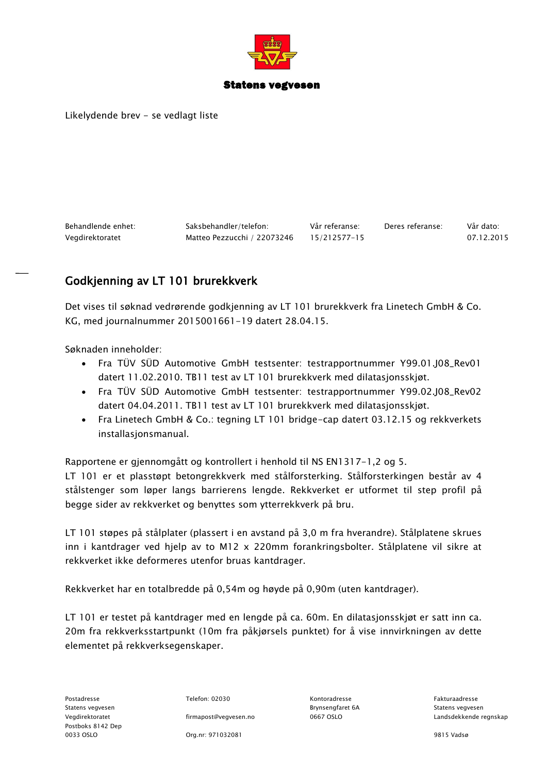

### Statens vegvesen

Likelydende brev - se vedlagt liste

Behandlende enhet: Saksbehandler/telefon: Vår referanse: Deres referanse: Vår dato: Vegdirektoratet Matteo Pezzucchi / 22073246 15/212577-15 07.12.2015

## Godkjenning av LT 101 brurekkverk

Det vises til søknad vedrørende godkjenning av LT 101 brurekkverk fra Linetech GmbH & Co. KG, med journalnummer 2015001661-19 datert 28.04.15.

Søknaden inneholder:

- Fra TÜV SÜD Automotive GmbH testsenter: testrapportnummer Y99.01.J08\_Rev01 datert 11.02.2010. TB11 test av LT 101 brurekkverk med dilatasjonsskjøt.
- Fra TÜV SÜD Automotive GmbH testsenter: testrapportnummer Y99.02.J08\_Rev02 datert 04.04.2011. TB11 test av LT 101 brurekkverk med dilatasjonsskjøt.
- Fra Linetech GmbH & Co.: tegning LT 101 bridge-cap datert 03.12.15 og rekkverkets installasjonsmanual.

Rapportene er gjennomgått og kontrollert i henhold til NS EN1317-1,2 og 5.

LT 101 er et plasstøpt betongrekkverk med stålforsterking. Stålforsterkingen består av 4 stålstenger som løper langs barrierens lengde. Rekkverket er utformet til step profil på begge sider av rekkverket og benyttes som ytterrekkverk på bru.

LT 101 støpes på stålplater (plassert i en avstand på 3,0 m fra hverandre). Stålplatene skrues inn i kantdrager ved hjelp av to M12 x 220mm forankringsbolter. Stålplatene vil sikre at rekkverket ikke deformeres utenfor bruas kantdrager.

Rekkverket har en totalbredde på 0,54m og høyde på 0,90m (uten kantdrager).

LT 101 er testet på kantdrager med en lengde på ca. 60m. En dilatasjonsskjøt er satt inn ca. 20m fra rekkverksstartpunkt (10m fra påkjørsels punktet) for å vise innvirkningen av dette elementet på rekkverksegenskaper.

Statens vegvesen Brynsengfaret 6A Statens vegvesen Postboks 8142 Dep 0033 OSLO Org.nr: 971032081 9815 Vadsø

Postadresse Telefon: 02030 Kontoradresse Fakturaadresse

Vegdirektoratet firmapost@vegvesen.no 0667 OSLO Landsdekkende regnskap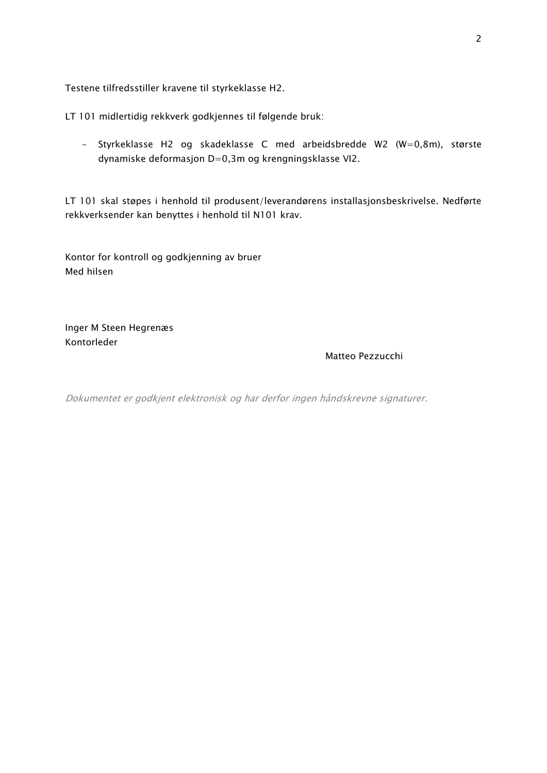Testene tilfredsstiller kravene til styrkeklasse H2.

LT 101 midlertidig rekkverk godkjennes til følgende bruk:

- Styrkeklasse H2 og skadeklasse C med arbeidsbredde W2 (W=0,8m), største dynamiske deformasjon D=0,3m og krengningsklasse VI2.

LT 101 skal støpes i henhold til produsent/leverandørens installasjonsbeskrivelse. Nedførte rekkverksender kan benyttes i henhold til N101 krav.

Kontor for kontroll og godkjenning av bruer Med hilsen

Inger M Steen Hegrenæs Kontorleder

### Matteo Pezzucchi

Dokumentet er godkjent elektronisk og har derfor ingen håndskrevne signaturer.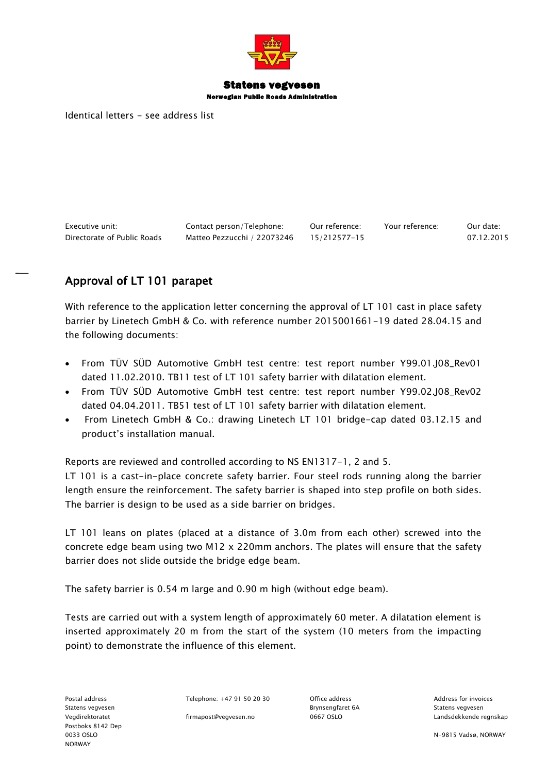

## Statens vegvesen

Norwegian Public Roads Administration

Identical letters - see address list

Executive unit: Contact person/Telephone: Our reference: Your reference: Our date: Directorate of Public Roads Matteo Pezzucchi / 22073246 15/212577-15 07.12.2015

# Approval of LT 101 parapet

With reference to the application letter concerning the approval of LT 101 cast in place safety barrier by Linetech GmbH & Co. with reference number 2015001661-19 dated 28.04.15 and the following documents:

- From TÜV SÜD Automotive GmbH test centre: test report number Y99.01.J08\_Rev01 dated 11.02.2010. TB11 test of LT 101 safety barrier with dilatation element.
- From TÜV SÜD Automotive GmbH test centre: test report number Y99.02.J08\_Rev02 dated 04.04.2011. TB51 test of LT 101 safety barrier with dilatation element.
- From Linetech GmbH & Co.: drawing Linetech LT 101 bridge-cap dated 03.12.15 and product's installation manual.

Reports are reviewed and controlled according to NS EN1317-1, 2 and 5.

LT 101 is a cast-in-place concrete safety barrier. Four steel rods running along the barrier length ensure the reinforcement. The safety barrier is shaped into step profile on both sides. The barrier is design to be used as a side barrier on bridges.

LT 101 leans on plates (placed at a distance of 3.0m from each other) screwed into the concrete edge beam using two M12 x 220mm anchors. The plates will ensure that the safety barrier does not slide outside the bridge edge beam.

The safety barrier is 0.54 m large and 0.90 m high (without edge beam).

Tests are carried out with a system length of approximately 60 meter. A dilatation element is inserted approximately 20 m from the start of the system (10 meters from the impacting point) to demonstrate the influence of this element.

Postal address Telephone: +47 91 50 20 30 Office address Controllers Address for invoices

Vegdirektoratet firmapost@vegvesen.no 0667 OSLO Landsdekkende regnskap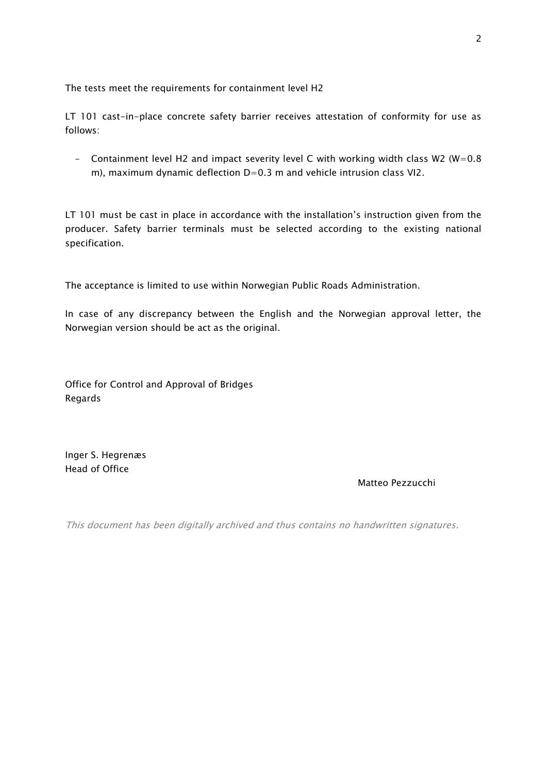The tests meet the requirements for containment level H2

LT 101 cast-in-place concrete safety barrier receives attestation of conformity for use as follows:

- Containment level H2 and impact severity level C with working width class W2 (W=0.8 m), maximum dynamic deflection  $D=0.3$  m and vehicle intrusion class VI2.

LT 101 must be cast in place in accordance with the installation's instruction given from the producer. Safety barrier terminals must be selected according to the existing national specification.

The acceptance is limited to use within Norwegian Public Roads Administration.

In case of any discrepancy between the English and the Norwegian approval letter, the Norwegian version should be act as the original.

Office for Control and Approval of Bridges Regards

Inger S. Hegrenæs Head of Office

### Matteo Pezzucchi

This document has been digitally archived and thus contains no handwritten signatures.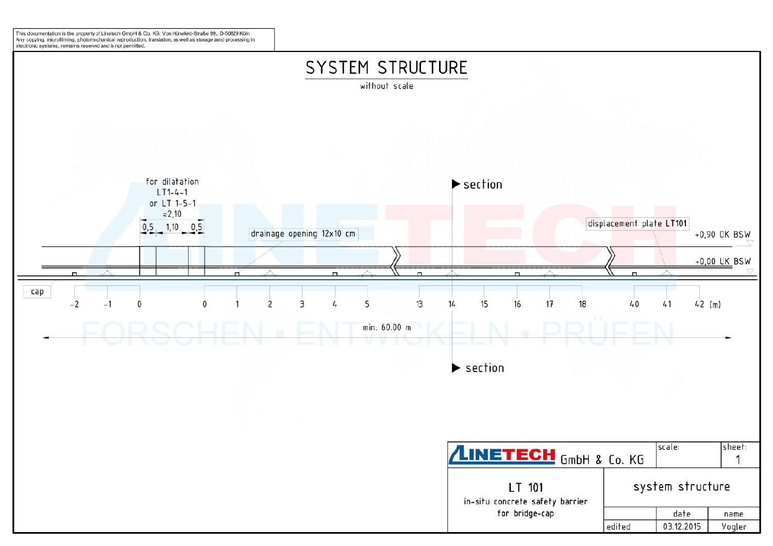